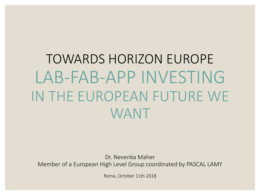TOWARDS HORIZON EUROPE LAB-FAB-APP INVESTING IN THE EUROPEAN FUTURE WE WANT

Dr. Nevenka Maher Member of a European High Level Group coordinated by PASCAL LAMY

Roma, October 11th 2018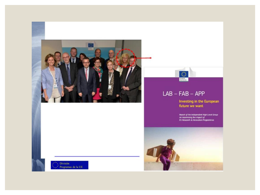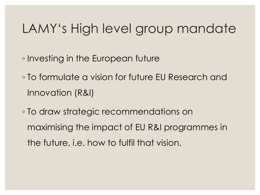## LAMY's High level group mandate

- Investing in the European future
- To formulate a vision for future EU Research and Innovation (R&I)
- To draw strategic recommendations on maximising the impact of EU R&I programmes in the future, i.e. how to fulfil that vision.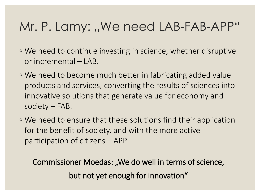## Mr. P. Lamy: "We need LAB-FAB-APP"

- We need to continue investing in science, whether disruptive or incremental – LAB.
- We need to become much better in fabricating added value products and services, converting the results of sciences into innovative solutions that generate value for economy and society – FAB.
- We need to ensure that these solutions find their application for the benefit of society, and with the more active participation of citizens – APP.

Commissioner Moedas: "We do well in terms of science, but not yet enough for innovation"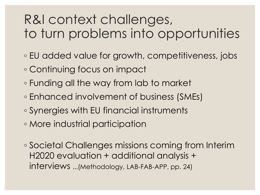# R&I context challenges, to turn problems into opportunities

- EU added value for growth, competitiveness, jobs
- Continuing focus on impact
- Funding all the way from lab to market
- Enhanced involvement of business (SMEs)
- Synergies with EU financial instruments
- More industrial participation
- Societal Challenges missions coming from Interim H2020 evaluation + additional analysis + interviews ...(Methodology, LAB-FAB-APP, pp. 24)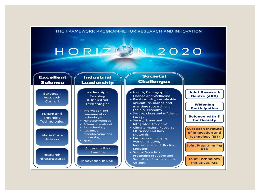



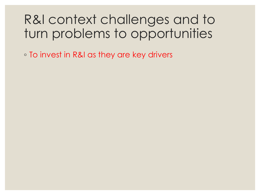## R&I context challenges and to turn problems to opportunities

◦ To invest in R&I as they are key drivers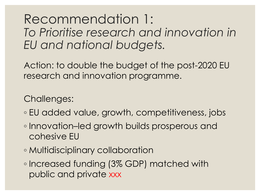Recommendation 1: *To Prioritise research and innovation in EU and national budgets.*

Action: to double the budget of the post-2020 EU research and innovation programme.

Challenges:

- EU added value, growth, competitiveness, jobs
- Innovation–led growth builds prosperous and cohesive EU
- Multidisciplinary collaboration
- Increased funding (3% GDP) matched with public and private xxx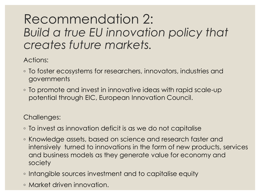## Recommendation 2: *Build a true EU innovation policy that creates future markets.*

Actions:

- To foster ecosystems for researchers, innovators, industries and governments
- To promote and invest in innovative ideas with rapid scale-up potential through EIC, European Innovation Council.

Challenges:

- To invest as innovation deficit is as we do not capitalise
- Knowledge assets, based on science and research faster and intensively turned to innovations in the form of new products, services and business models as they generate value for economy and society
- Intangible sources investment and to capitalise equity
- Market driven innovation.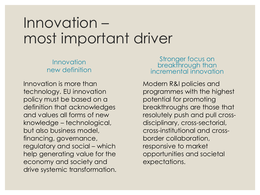# Innovation – most important driver

#### Innovation new definition

Innovation is more than technology. EU innovation policy must be based on a definition that acknowledges and values all forms of new knowledge – technological, but also business model, financing, governance, regulatory and social – which help generating value for the economy and society and drive systemic transformation.

#### Stronger focus on breakthrough than incremental innovation

Modern R&I policies and programmes with the highest potential for promoting breakthroughs are those that resolutely push and pull crossdisciplinary, cross-sectorial, cross-institutional and crossborder collaboration, responsive to market opportunities and societal expectations.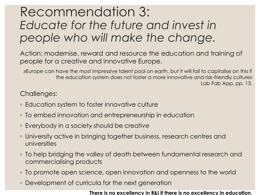## Recommendation 3: *Educate for the future and invest in people who will make the change.*

Action: modernise, reward and resource the education and training of people for a creative and innovative Europe.

»Europe can have the most impressive talent pool on earth, but it will fail to capitalise on this if the education system does not foster a more innovative and risk-friendly culture« Lab Fab App, pp. 13.

Challenges:

- Education system to foster innovative culture
- To embed innovation and entrepreneurship in education
- Everybody in a society should be creative
- University active in bringing together business, research centres and universities
- To help bridging the valley of death between fundamental research and commercialising products
- To promote open science, open innovation and openness to the world
- Development of curricula for the next generation

**There is no excellency in R&I if there is no excellency in education.**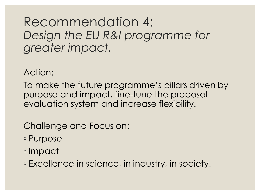### Recommendation 4: *Design the EU R&I programme for greater impact.*

Action:

To make the future programme's pillars driven by purpose and impact, fine-tune the proposal evaluation system and increase flexibility.

Challenge and Focus on:

- Purpose
- Impact

◦ Excellence in science, in industry, in society.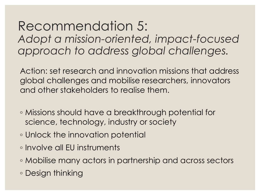Recommendation 5: *Adopt a mission-oriented, impact-focused approach to address global challenges.*

Action: set research and innovation missions that address global challenges and mobilise researchers, innovators and other stakeholders to realise them.

- Missions should have a breakthrough potential for science, technology, industry or society
- Unlock the innovation potential
- Involve all EU instruments
- Mobilise many actors in partnership and across sectors
- Design thinking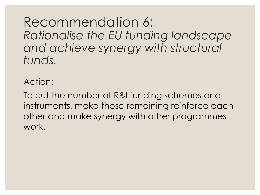Recommendation 6: *Rationalise the EU funding landscape and achieve synergy with structural funds.*

Action:

To cut the number of R&I funding schemes and instruments, make those remaining reinforce each other and make synergy with other programmes work.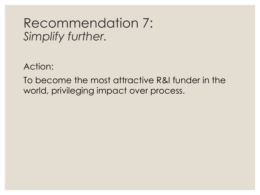### Recommendation 7: *Simplify further.*

Action:

To become the most attractive R&I funder in the world, privileging impact over process.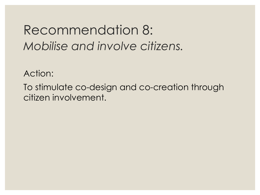## Recommendation 8: *Mobilise and involve citizens.*

Action:

To stimulate co-design and co-creation through citizen involvement.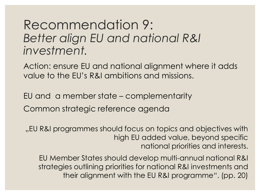### Recommendation 9: *Better align EU and national R&I investment.*

Action: ensure EU and national alignment where it adds value to the EU's R&I ambitions and missions.

EU and a member state – complementarity Common strategic reference agenda

"EU R&I programmes should focus on topics and objectives with high EU added value, beyond specific national priorities and interests.

EU Member States should develop multi-annual national R&I strategies outlining priorities for national R&I investments and their alignment with the EU R&I programme". (pp. 20)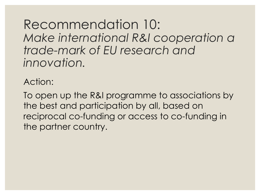Recommendation 10: *Make international R&I cooperation a trade-mark of EU research and innovation.* 

Action:

To open up the R&I programme to associations by the best and participation by all, based on reciprocal co-funding or access to co-funding in the partner country.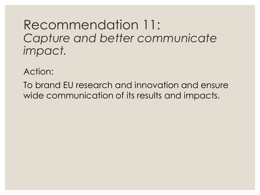### Recommendation 11: *Capture and better communicate impact.*

Action:

To brand EU research and innovation and ensure wide communication of its results and impacts.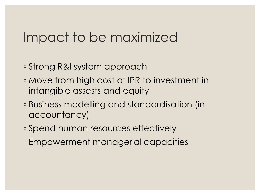## Impact to be maximized

- Strong R&I system approach
- Move from high cost of IPR to investment in intangible assests and equity
- Business modelling and standardisation (in accountancy)
- Spend human resources effectively
- Empowerment managerial capacities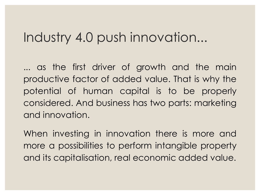## Industry 4.0 push innovation...

... as the first driver of growth and the main productive factor of added value. That is why the potential of human capital is to be properly considered. And business has two parts: marketing and innovation.

When investing in innovation there is more and more a possibilities to perform intangible property and its capitalisation, real economic added value.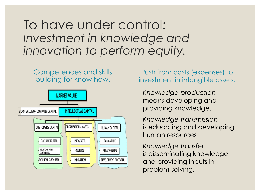To have under control: *Investment in knowledge and innovation to perform equity.* 

#### Competences and skills building for know how.



Push from costs (expenses) to investment in intangible assets.

*Knowledge production*  means developing and providing knowledge.

*Knowledge transmission* is educating and developing human resources

*Knowledge transfer*  is disseminating knowledge and providing inputs in problem solving.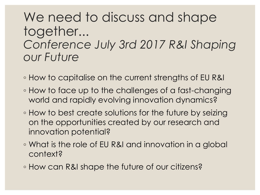## We need to discuss and shape together... *Conference July 3rd 2017 R&I Shaping our Future*

- How to capitalise on the current strengths of EU R&I
- How to face up to the challenges of a fast-changing world and rapidly evolving innovation dynamics?
- How to best create solutions for the future by seizing on the opportunities created by our research and innovation potential?
- What is the role of EU R&I and innovation in a global context?
- How can R&I shape the future of our citizens?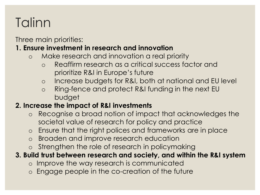# **Talinn**

Three main priorities:

#### **1. Ensure investment in research and innovation**

- o Make research and innovation a real priority
	- o Reaffirm research as a critical success factor and prioritize R&I in Europe's future
	- o Increase budgets for R&I, both at national and EU level
	- o Ring-fence and protect R&I funding in the next EU budget

### **2. Increase the impact of R&I investments**

- o Recognise a broad notion of impact that acknowledges the societal value of research for policy and practice
- o Ensure that the right polices and frameworks are in place
- o Broaden and improve research education
- o Strengthen the role of research in policymaking

### **3. Build trust between research and society, and within the R&I system**

- o Improve the way research is communicated
- o Engage people in the co-creation of the future